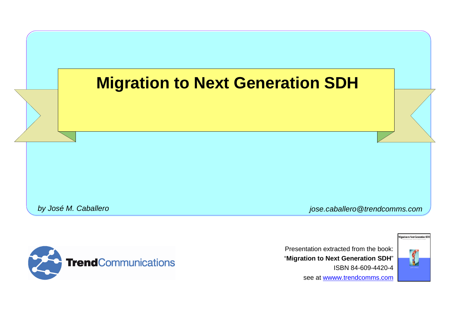#### **Migration to Next Generation SDH**

*by José M. Caballero jose.caballero@trendcomms.com*



Presentation extracted from the book: "**Migration to Next Generation SDH**" ISBN 84-609-4420-4 see at wwww.trendcomms.com

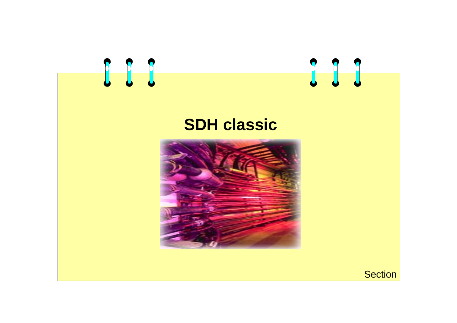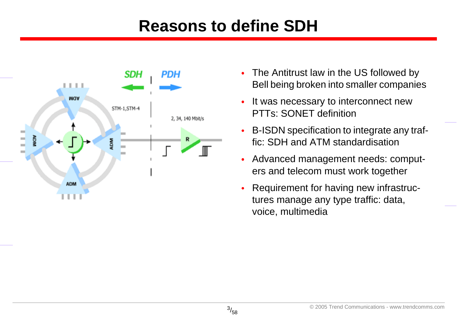#### **Reasons to define SDH**



- • The Antitrust law in the US followed by Bell being broken into smaller companies
- • It was necessary to interconnect new PTTs: SONET definition
- • B-ISDN specification to integrate any traffic: SDH and ATM standardisation
- • Advanced management needs: computers and telecom must work together
- • Requirement for having new infrastructures manage any type traffic: data, voice, multimedia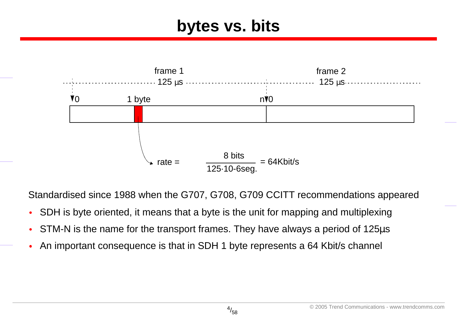#### **bytes vs. bits**



Standardised since 1988 when the G707, G708, G709 CCITT recommendations appeared

- •SDH is byte oriented, it means that a byte is the unit for mapping and multiplexing
- •STM-N is the name for the transport frames. They have always a period of 125µ<sup>s</sup>
- •An important consequence is that in SDH 1 byte represents a 64 Kbit/s channel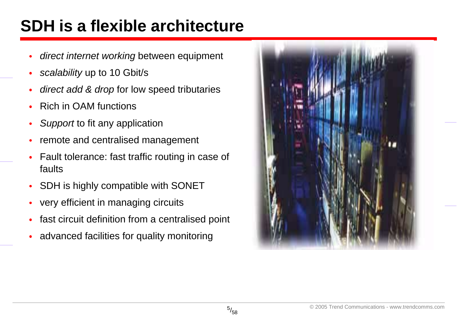#### **SDH is a flexible architecture**

- •*direct internet working* between equipment
- •*scalability* up to 10 Gbit/s
- •*direct add & drop* for low speed tributaries
- •Rich in OAM functions
- •*Support* to fit any application
- •remote and centralised management
- • Fault tolerance: fast traffic routing in case of faults
- •SDH is highly compatible with SONET
- •very efficient in managing circuits
- •fast circuit definition from a centralised point
- •advanced facilities for quality monitoring

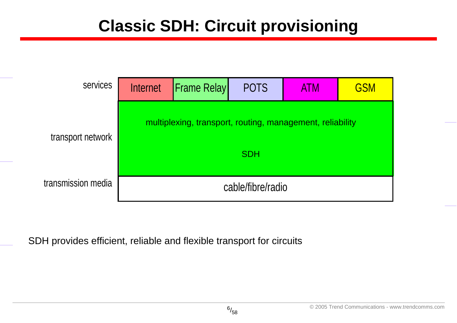#### **Classic SDH: Circuit provisioning**

| services                                                                       | Internet          | <b>Frame Relay</b> | <b>POTS</b> | <b>ATM</b> | <b>GSM</b> |  |
|--------------------------------------------------------------------------------|-------------------|--------------------|-------------|------------|------------|--|
| multiplexing, transport, routing, management, reliability<br>transport network |                   |                    |             |            |            |  |
|                                                                                | <b>SDH</b>        |                    |             |            |            |  |
| transmission media                                                             | cable/fibre/radio |                    |             |            |            |  |

SDH provides efficient, reliable and flexible transport for circuits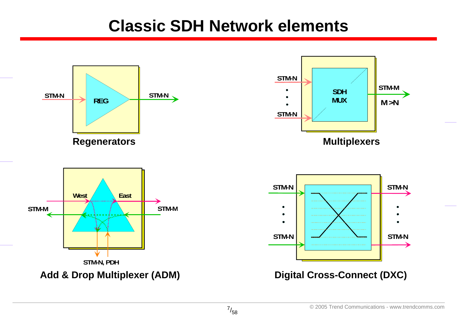#### **Classic SDH Network elements**

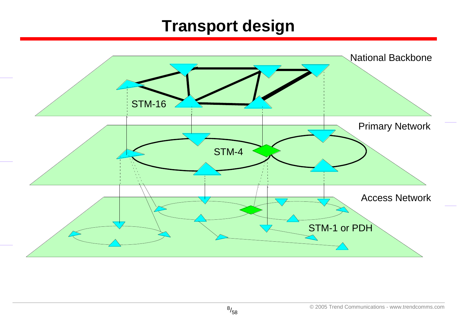#### **Transport design**

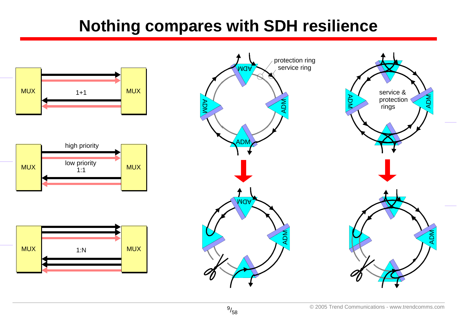#### **Nothing compares with SDH resilience**





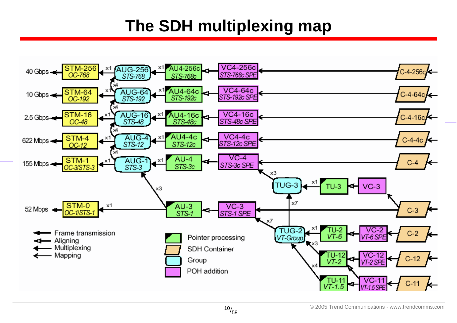#### **The SDH multiplexing map**

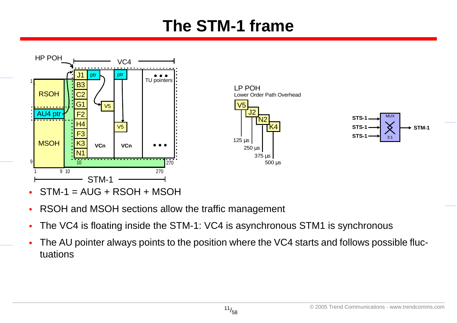#### **The STM-1 frame**



- •STM-1 = AUG + RSOH + MSOH
- •RSOH and MSOH sections allow the traffic management
- •The VC4 is floating inside the STM-1: VC4 is asynchronous STM1 is synchronous
- • The AU pointer always points to the position where the VC4 starts and follows possible fluctuations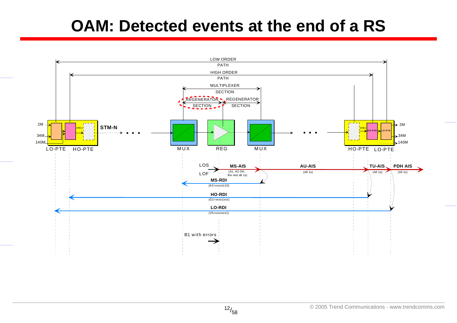#### **OAM: Detected events at the end of a RS**

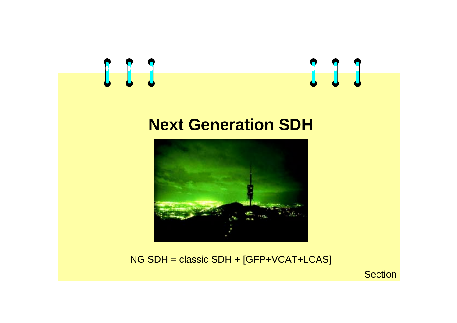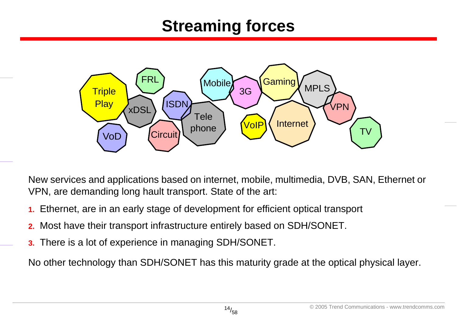#### **Streaming forces**



New services and applications based on internet, mobile, multimedia, DVB, SAN, Ethernet or VPN, are demanding long hault transport. State of the art:

- **1.** Ethernet, are in an early stage of development for efficient optical transport
- **2.** Most have their transport infrastructure entirely based on SDH/SONET.
- **3.** There is a lot of experience in managing SDH/SONET.

No other technology than SDH/SONET has this maturity grade at the optical physical layer.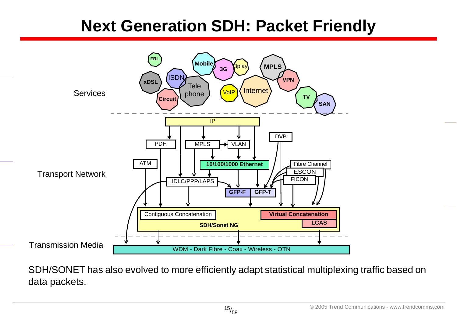#### **Next Generation SDH: Packet Friendly**



SDH/SONET has also evolved to more efficiently adapt statistical multiplexing traffic based on data packets.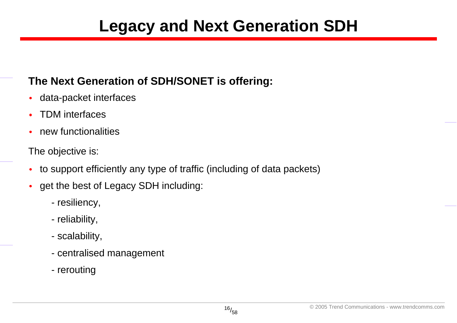#### **Legacy and Next Generation SDH**

#### **The Next Generation of SDH/SONET is offering:**

- •data-packet interfaces
- •TDM interfaces
- •new functionalities

The objective is:

- •to support efficiently any type of traffic (including of data packets)
- • get the best of Legacy SDH including:
	- resiliency,
	- reliability,
	- scalability,
	- centralised management
	- rerouting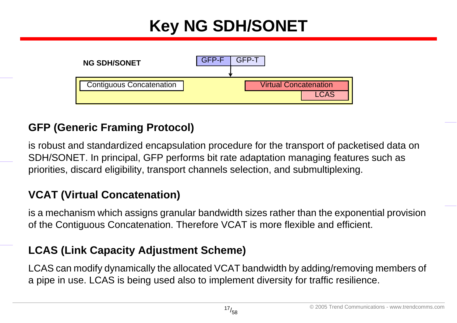## **Key NG SDH/SONET**



#### **GFP (Generic Framing Protocol)**

is robust and standardized encapsulation procedure for the transport of packetised data on SDH/SONET. In principal, GFP performs bit rate adaptation managing features such as priorities, discard eligibility, transport channels selection, and submultiplexing.

#### **VCAT (Virtual Concatenation)**

is a mechanism which assigns granular bandwidth sizes rather than the exponential provision of the Contiguous Concatenation. Therefore VCAT is more flexible and efficient.

#### **LCAS (Link Capacity Adjustment Scheme)**

LCAS can modify dynamically the allocated VCAT bandwidth by adding/removing members of a pipe in use. LCAS is being used also to implement diversity for traffic resilience.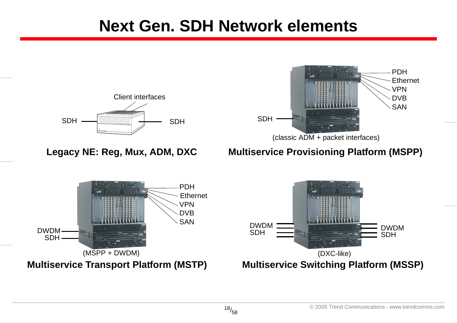#### **Next Gen. SDH Network elements**





#### **Legacy NE: Reg, Mux, ADM, DXC Multiservice Provisioning Platform (MSPP)**

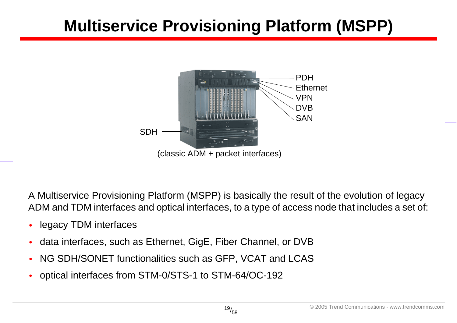### **Multiservice Provisioning Platform (MSPP)**



A Multiservice Provisioning Platform (MSPP) is basically the result of the evolution of legacy ADM and TDM interfaces and optical interfaces, to a type of access node that includes a set of:

- •legacy TDM interfaces
- •data interfaces, such as Ethernet, GigE, Fiber Channel, or DVB
- •NG SDH/SONET functionalities such as GFP, VCAT and LCAS
- •optical interfaces from STM-0/STS-1 to STM-64/OC-192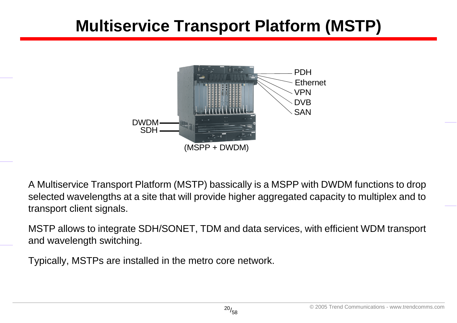#### **Multiservice Transport Platform (MSTP)**



A Multiservice Transport Platform (MSTP) bassically is a MSPP with DWDM functions to drop selected wavelengths at a site that will provide higher aggregated capacity to multiplex and to transport client signals.

MSTP allows to integrate SDH/SONET, TDM and data services, with efficient WDM transport and wavelength switching.

Typically, MSTPs are installed in the metro core network.

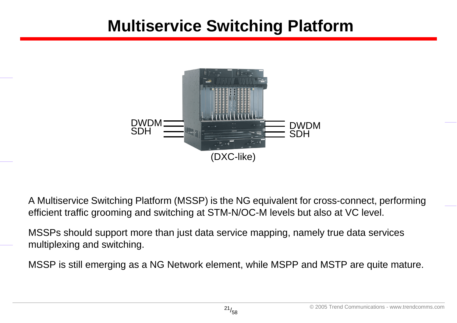#### **Multiservice Switching Platform**



A Multiservice Switching Platform (MSSP) is the NG equivalent for cross-connect, performing efficient traffic grooming and switching at STM-N/OC-M levels but also at VC level.

MSSPs should support more than just data service mapping, namely true data services multiplexing and switching.

MSSP is still emerging as a NG Network element, while MSPP and MSTP are quite mature.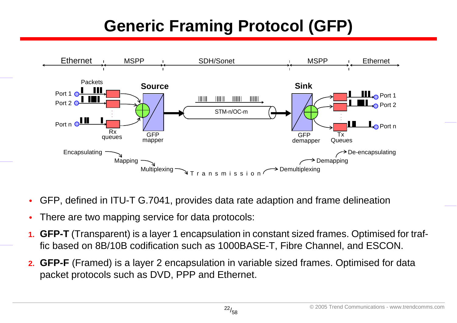## **Generic Framing Protocol (GFP)**



- •GFP, defined in ITU-T G.7041, provides data rate adaption and frame delineation
- •There are two mapping service for data protocols:
- **1. GFP-T** (Transparent) is a layer 1 encapsulation in constant sized frames. Optimised for traffic based on 8B/10B codification such as 1000BASE-T, Fibre Channel, and ESCON.
- **2. GFP-F** (Framed) is a layer 2 encapsulation in variable sized frames. Optimised for data packet protocols such as DVD, PPP and Ethernet.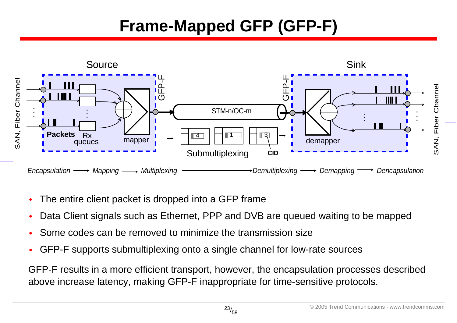#### **Frame-Mapped GFP (GFP-F)**



- •The entire client packet is dropped into a GFP frame
- •Data Client signals such as Ethernet, PPP and DVB are queued waiting to be mapped
- •Some codes can be removed to minimize the transmission size
- •GFP-F supports submultiplexing onto a single channel for low-rate sources

GFP-F results in a more efficient transport, however, the encapsulation processes described above increase latency, making GFP-F inappropriate for time-sensitive protocols.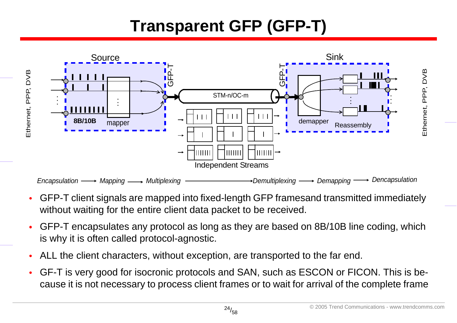#### **Transparent GFP (GFP-T)**



- • GFP-T client signals are mapped into fixed-length GFP framesand transmitted immediately without waiting for the entire client data packet to be received.
- • GFP-T encapsulates any protocol as long as they are based on 8B/10B line coding, which is why it is often called protocol-agnostic.
- •ALL the client characters, without exception, are transported to the far end.
- • GF-T is very good for isocronic protocols and SAN, such as ESCON or FICON. This is because it is not necessary to process client frames or to wait for arrival of the complete frame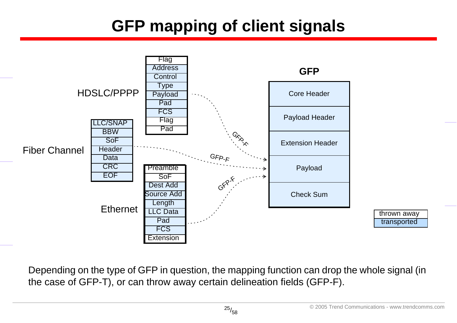## **GFP mapping of client signals**



Depending on the type of GFP in question, the mapping function can drop the whole signal (in the case of GFP-T), or can throw away certain delineation fields (GFP-F).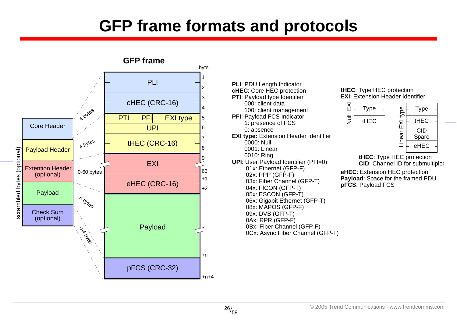#### **GFP frame formats and protocols**





#### **EXI:** Extension Header Identifier **tHEC**: Type HEC protection



**tHEC**: Type HEC protection **CID:** Channel ID for submultiplex

**Payload**: Space for the framed PDU **pFCS**: Payload FCS **eHEC**: Extension HEC protection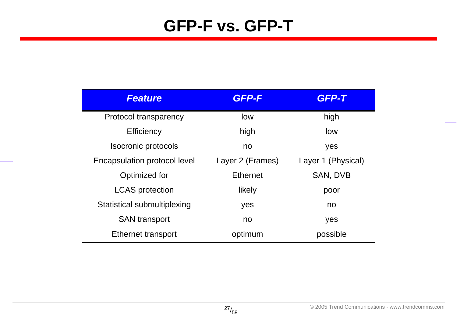#### **GFP-F vs. GFP-T**

| <b>Feature</b>                      | <b>GFP-F</b>     | GFP-T              |  |
|-------------------------------------|------------------|--------------------|--|
| Protocol transparency               | low              | high               |  |
| <b>Efficiency</b>                   | high             | low                |  |
| Isocronic protocols                 | no               | yes                |  |
| <b>Encapsulation protocol level</b> | Layer 2 (Frames) | Layer 1 (Physical) |  |
| Optimized for                       | <b>Ethernet</b>  | SAN, DVB           |  |
| <b>LCAS</b> protection              | likely           | poor               |  |
| Statistical submultiplexing         | yes              | no                 |  |
| <b>SAN</b> transport                | no               | yes                |  |
| Ethernet transport                  | optimum          | possible           |  |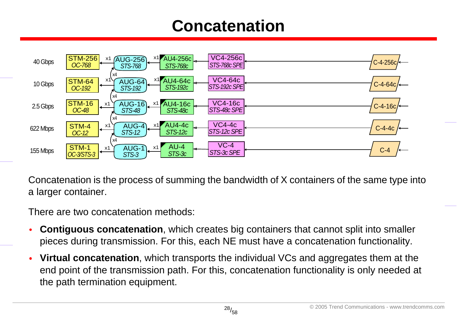#### **Concatenation**



Concatenation is the process of summing the bandwidth of X containers of the same type into a larger container.

There are two concatenation methods:

- • **Contiguous concatenation**, which creates big containers that cannot split into smaller pieces during transmission. For this, each NE must have a concatenation functionality.
- • **Virtual concatenation**, which transports the individual VCs and aggregates them at the end point of the transmission path. For this, concatenation functionality is only needed at the path termination equipment.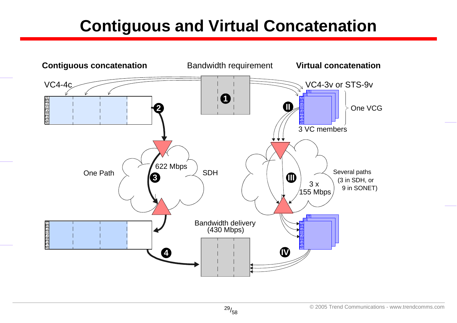#### **Contiguous and Virtual Concatenation**

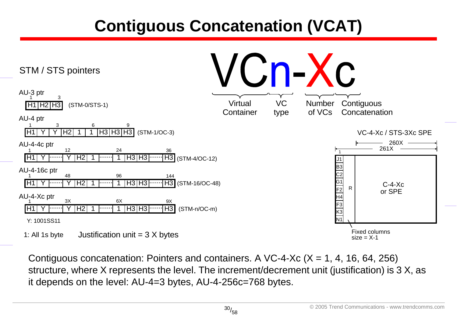### **Contiguous Concatenation (VCAT)**



Contiguous concatenation: Pointers and containers. A VC-4-Xc  $(X = 1, 4, 16, 64, 256)$ structure, where X represents the level. The increment/decrement unit (justification) is 3 X, as it depends on the level: AU-4=3 bytes, AU-4-256c=768 bytes.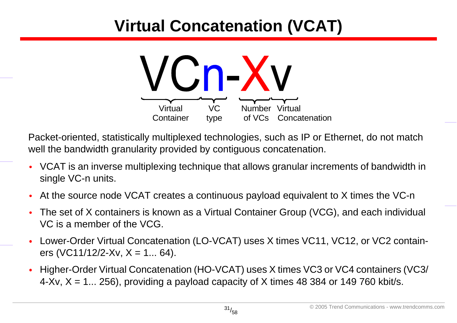## **Virtual Concatenation (VCAT)**



Packet-oriented, statistically multiplexed technologies, such as IP or Ethernet, do not match well the bandwidth granularity provided by contiguous concatenation.

- VCAT is an inverse multiplexing technique that allows granular increments of bandwidth in single VC-n units.
- •At the source node VCAT creates a continuous payload equivalent to X times the VC-n
- • The set of X containers is known as a Virtual Container Group (VCG), and each individual VC is a member of the VCG.
- • Lower-Order Virtual Concatenation (LO-VCAT) uses X times VC11, VC12, or VC2 containers (VC11/12/2-Xv,  $X = 1... 64$ ).
- • Higher-Order Virtual Concatenation (HO-VCAT) uses X times VC3 or VC4 containers (VC3/  $4-Xv$ ,  $X = 1... 256$ ), providing a payload capacity of X times 48 384 or 149 760 kbit/s.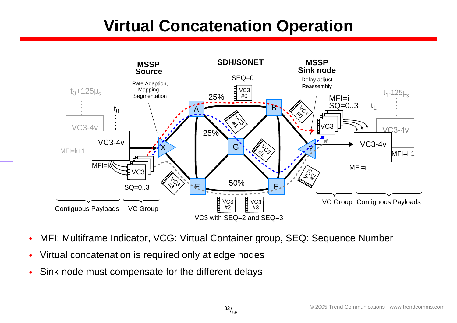#### **Virtual Concatenation Operation**



- •MFI: Multiframe Indicator, VCG: Virtual Container group, SEQ: Sequence Number
- •Virtual concatenation is required only at edge nodes
- •Sink node must compensate for the different delays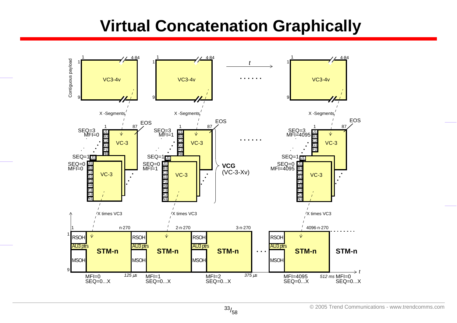#### **Virtual Concatenation Graphically**

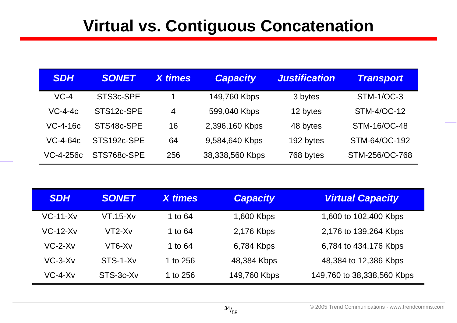#### **Virtual vs. Contiguous Concatenation**

| <b>SDH</b>    | <b>SONET</b>           | <b>X</b> times | <b>Capacity</b> | <b>Justification</b> | <b>Transport</b>  |
|---------------|------------------------|----------------|-----------------|----------------------|-------------------|
| $VC-4$        | STS <sub>3c</sub> -SPE |                | 149,760 Kbps    | 3 bytes              | <b>STM-1/OC-3</b> |
| $VC$ -4-4 $c$ | STS12c-SPE             | $\overline{4}$ | 599,040 Kbps    | 12 bytes             | STM-4/OC-12       |
| VC-4-16c      | STS48c-SPE             | 16             | 2,396,160 Kbps  | 48 bytes             | STM-16/OC-48      |
| VC-4-64c      | STS192c-SPE            | 64             | 9,584,640 Kbps  | 192 bytes            | STM-64/OC-192     |
| VC-4-256c     | STS768c-SPE            | 256            | 38,338,560 Kbps | 768 bytes            | STM-256/OC-768    |

| <b>SDH</b> | <b>SONET</b> | <b>X</b> times | <b>Capacity</b> | <b>Virtual Capacity</b>    |
|------------|--------------|----------------|-----------------|----------------------------|
| $VC-11-Xv$ | $VT.15-Xv$   | 1 to 64        | 1,600 Kbps      | 1,600 to 102,400 Kbps      |
| $VC-12-Xv$ | VT2-Xv       | 1 to 64        | 2,176 Kbps      | 2,176 to 139,264 Kbps      |
| $VC-2-Xv$  | VT6-Xv       | 1 to 64        | 6,784 Kbps      | 6,784 to 434,176 Kbps      |
| $VC-3-Xv$  | STS-1-Xv     | 1 to 256       | 48,384 Kbps     | 48,384 to 12,386 Kbps      |
| $VC-4-Xv$  | STS-3c-Xv    | 1 to 256       | 149,760 Kbps    | 149,760 to 38,338,560 Kbps |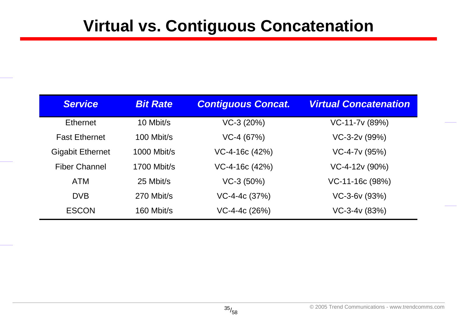#### **Virtual vs. Contiguous Concatenation**

| <b>Service</b>          | <b>Bit Rate</b>    | <b>Contiguous Concat.</b> | <b>Virtual Concatenation</b> |
|-------------------------|--------------------|---------------------------|------------------------------|
| <b>Ethernet</b>         | 10 Mbit/s          | $VC-3 (20%)$              | VC-11-7v (89%)               |
| <b>Fast Ethernet</b>    | 100 Mbit/s         | $VC-4 (67%)$              | VC-3-2v (99%)                |
| <b>Gigabit Ethernet</b> | <b>1000 Mbit/s</b> | $VC-4-16c(42%)$           | $VC-4-7v(95%)$               |
| <b>Fiber Channel</b>    | <b>1700 Mbit/s</b> | $VC-4-16c(42%)$           | VC-4-12v (90%)               |
| <b>ATM</b>              | 25 Mbit/s          | $VC-3(50%)$               | $VC-11-16c(98%)$             |
| <b>DVB</b>              | 270 Mbit/s         | $VC-4-4c (37%)$           | $VC-3-6v(93%)$               |
| <b>ESCON</b>            | 160 Mbit/s         | $VC-4-4c(26%)$            | $VC-3-4v (83%)$              |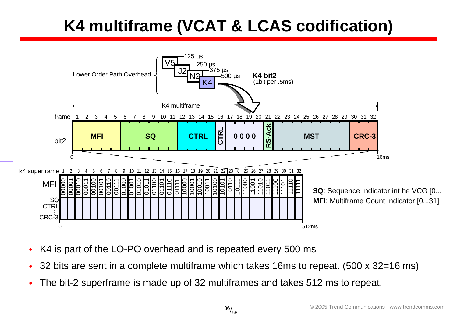## **K4 multiframe (VCAT & LCAS codification)**



- •K4 is part of the LO-PO overhead and is repeated every 500 ms
- •32 bits are sent in a complete multiframe which takes 16ms to repeat. (500 x 32=16 ms)
- •The bit-2 superframe is made up of 32 multiframes and takes 512 ms to repeat.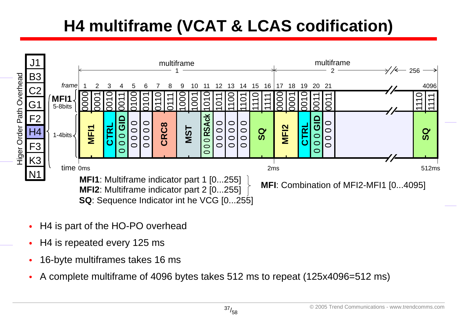## **H4 multiframe (VCAT & LCAS codification)**



- •H4 is part of the HO-PO overhead
- •H4 is repeated every 125 ms
- •16-byte multiframes takes 16 ms
- •A complete multiframe of 4096 bytes takes 512 ms to repeat (125x4096=512 ms)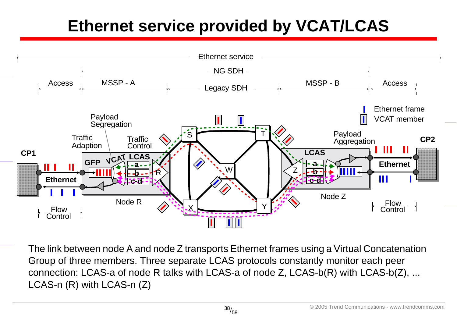## **Ethernet service provided by VCAT/LCAS**



The link between node A and node Z transports Ethernet frames using a Virtual Concatenation Group of three members. Three separate LCAS protocols constantly monitor each peer connection: LCAS-a of node R talks with LCAS-a of node Z, LCAS-b(R) with LCAS-b(Z), ... LCAS-n (R) with LCAS-n (Z)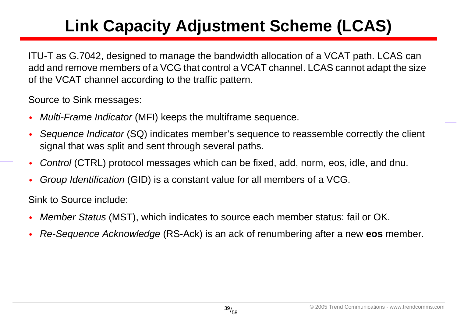## **Link Capacity Adjustment Scheme (LCAS)**

ITU-T as G.7042, designed to manage the bandwidth allocation of a VCAT path. LCAS can add and remove members of a VCG that control a VCAT channel. LCAS cannot adapt the size of the VCAT channel according to the traffic pattern.

Source to Sink messages:

- •*Multi-Frame Indicator* (MFI) keeps the multiframe sequence.
- • *Sequence Indicator* (SQ) indicates member's sequence to reassemble correctly the client signal that was split and sent through several paths.
- •*Control* (CTRL) protocol messages which can be fixed, add, norm, eos, idle, and dnu.
- •*Group Identification* (GID) is a constant value for all members of a VCG.

Sink to Source include:

- •*Member Status* (MST), which indicates to source each member status: fail or OK.
- •*Re-Sequence Acknowledge* (RS-Ack) is an ack of renumbering after a new **eos** member.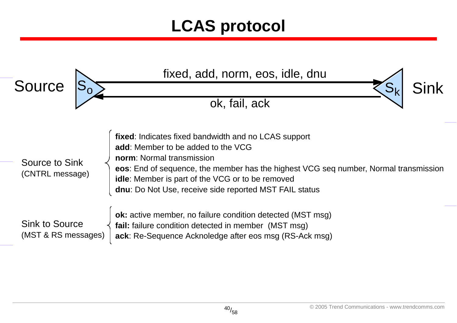#### **LCAS protocol**

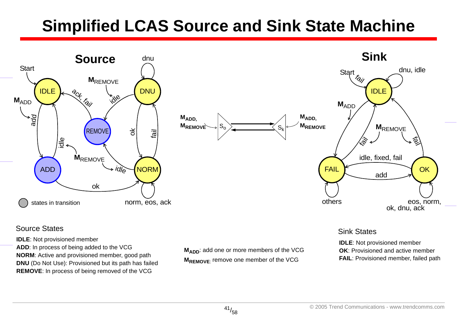#### **Simplified LCAS Source and Sink State Machine**



#### Source States Sink States Sink States Sink States Sink States Sink States Sink States Sink States

**IDLE**: Not provisioned member

**ADD**: In process of being added to the VCG **NORM**: Active and provisioned member, good path **DNU** (Do Not Use): Provisioned but its path has failed **REMOVE**: In process of being removed of the VCG

M<sub>ADD</sub>: add one or more members of the VCG **MREMOVE:** remove one member of the VCG

**IDLE**: Not provisioned member **OK**: Provisioned and active member **FAIL**: Provisioned member, failed path

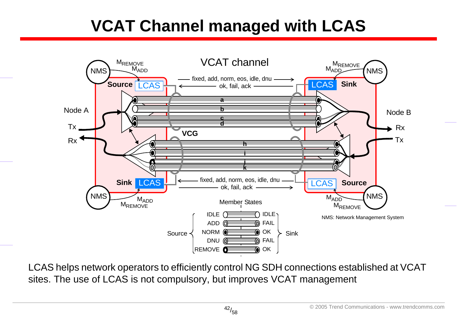#### **VCAT Channel managed with LCAS**



LCAS helps network operators to efficiently control NG SDH connections established at VCAT sites. The use of LCAS is not compulsory, but improves VCAT management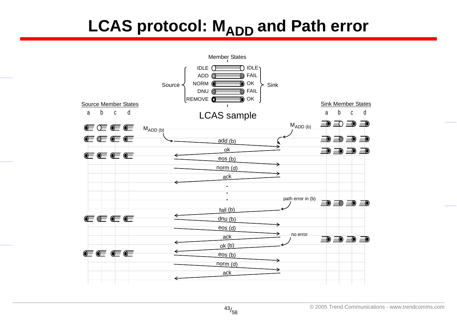#### **LCAS protocol: MADD and Path error**

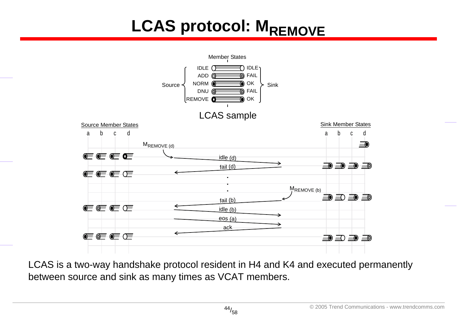# **LCAS protocol: MREMOVE**



LCAS is a two-way handshake protocol resident in H4 and K4 and executed permanently between source and sink as many times as VCAT members.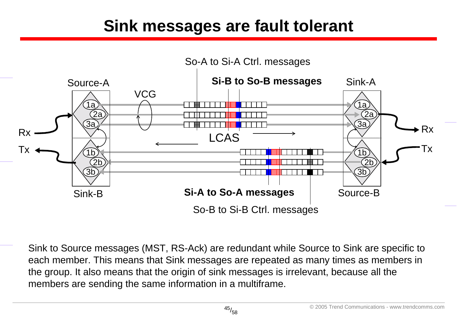#### **Sink messages are fault tolerant**



Sink to Source messages (MST, RS-Ack) are redundant while Source to Sink are specific to each member. This means that Sink messages are repeated as many times as members in the group. It also means that the origin of sink messages is irrelevant, because all the members are sending the same information in a multiframe.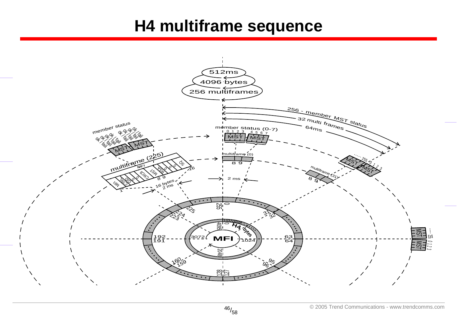#### **H4 multiframe sequence**

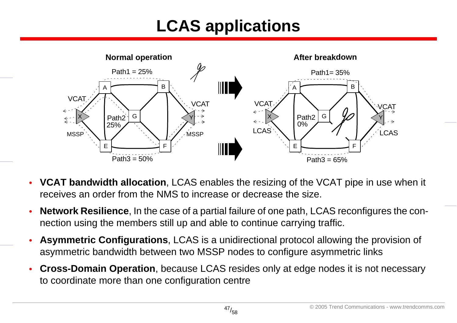### **LCAS applications**



- • **VCAT bandwidth allocation**, LCAS enables the resizing of the VCAT pipe in use when it receives an order from the NMS to increase or decrease the size.
- • **Network Resilience**, In the case of a partial failure of one path, LCAS reconfigures the connection using the members still up and able to continue carrying traffic.
- • **Asymmetric Configurations**, LCAS is a unidirectional protocol allowing the provision of asymmetric bandwidth between two MSSP nodes to configure asymmetric links
- • **Cross-Domain Operation**, because LCAS resides only at edge nodes it is not necessary to coordinate more than one configuration centre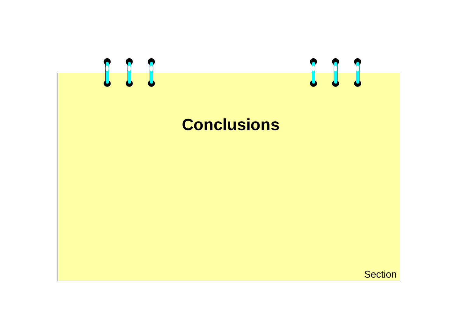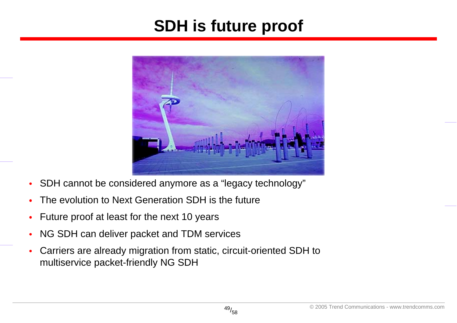#### **SDH is future proof**



- •SDH cannot be considered anymore as a "legacy technology"
- •The evolution to Next Generation SDH is the future
- •Future proof at least for the next 10 years
- •NG SDH can deliver packet and TDM services
- • Carriers are already migration from static, circuit-oriented SDH to multiservice packet-friendly NG SDH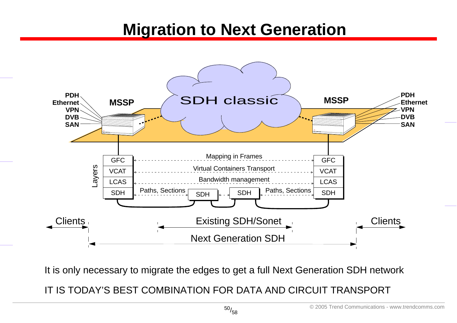#### **Migration to Next Generation**



It is only necessary to migrate the edges to get a full Next Generation SDH network

IT IS TODAY'S BEST COMBINATION FOR DATA AND CIRCUIT TRANSPORT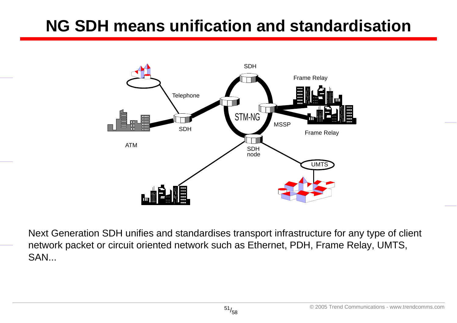#### **NG SDH means unification and standardisation**



Next Generation SDH unifies and standardises transport infrastructure for any type of client network packet or circuit oriented network such as Ethernet, PDH, Frame Relay, UMTS, SAN...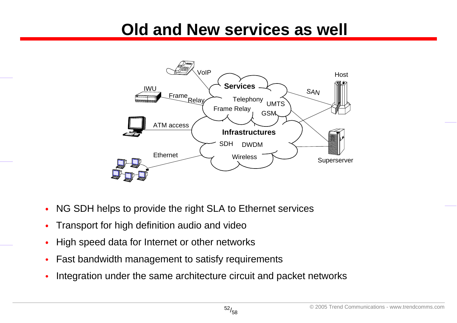#### **Old and New services as well**



- •NG SDH helps to provide the right SLA to Ethernet services
- •Transport for high definition audio and video
- •High speed data for Internet or other networks
- •Fast bandwidth management to satisfy requirements
- •Integration under the same architecture circuit and packet networks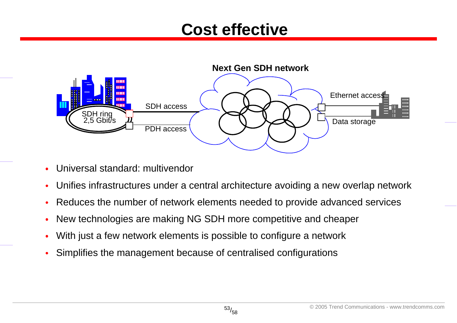#### **Cost effective**



- •Universal standard: multivendor
- •Unifies infrastructures under a central architecture avoiding a new overlap network
- •Reduces the number of network elements needed to provide advanced services
- •New technologies are making NG SDH more competitive and cheaper
- •With just a few network elements is possible to configure a network
- •Simplifies the management because of centralised configurations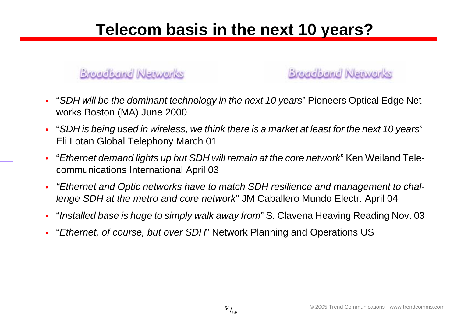#### **Telecom basis in the next 10 years?**

#### **Breadband Newcrits**

**Broadband Newcrks** 

- •"*SDH will be the dominant technology in the next 10 years*" Pioneers Optical Edge Networks Boston (MA) June 2000
- •"*SDH is being used in wireless, we think there is a market at least for the next 10 years*" Eli Lotan Global Telephony March 01
- •"*Ethernet demand lights up but SDH will remain at the core network*" Ken Weiland Telecommunications International April 03
- • *"Ethernet and Optic networks have to match SDH resilience and management to challenge SDH at the metro and core network*" JM Caballero Mundo Electr. April 04
- •"*Installed base is huge to simply walk away from*" S. Clavena Heaving Reading Nov. 03
- •"*Ethernet, of course, but over SDH*" Network Planning and Operations US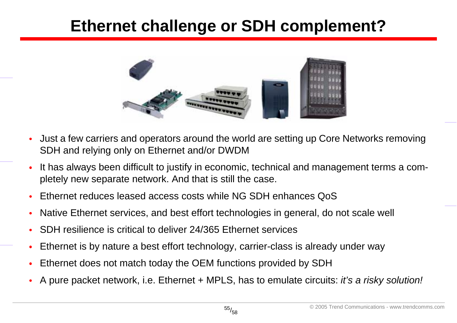#### **Ethernet challenge or SDH complement?**



- • Just a few carriers and operators around the world are setting up Core Networks removing SDH and relying only on Ethernet and/or DWDM
- • It has always been difficult to justify in economic, technical and management terms a completely new separate network. And that is still the case.
- •Ethernet reduces leased access costs while NG SDH enhances QoS
- •Native Ethernet services, and best effort technologies in general, do not scale well
- •SDH resilience is critical to deliver 24/365 Ethernet services
- •Ethernet is by nature a best effort technology, carrier-class is already under way
- •Ethernet does not match today the OEM functions provided by SDH
- •A pure packet network, i.e. Ethernet + MPLS, has to emulate circuits: *it's a risky solution!*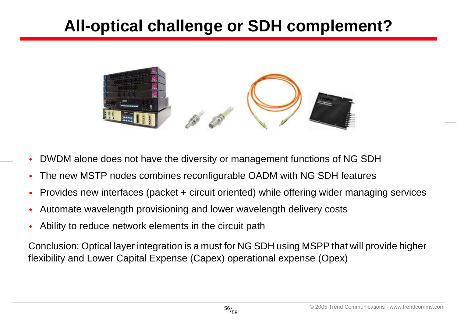#### **All-optical challenge or SDH complement?**



- •DWDM alone does not have the diversity or management functions of NG SDH
- •The new MSTP nodes combines reconfigurable OADM with NG SDH features
- •Provides new interfaces (packet + circuit oriented) while offering wider managing services
- •Automate wavelength provisioning and lower wavelength delivery costs
- •Ability to reduce network elements in the circuit path

Conclusion: Optical layer integration is a must for NG SDH using MSPP that will provide higher flexibility and Lower Capital Expense (Capex) operational expense (Opex)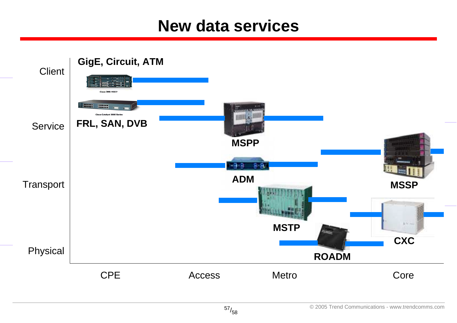#### **New data services**